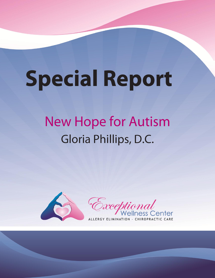# **Special Report**

## **New Hope for Autism** Gloria Phillips, D.C.



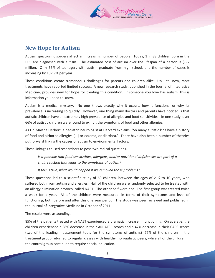

## **New Hope for Autism**

Autism spectrum disorders affect an increasing number of people. Today, 1 in 88 children born in the U.S. are diagnosed with autism. The estimated cost of autism over the lifespan of a person is \$3.2 million. Only 56% of teenagers with autism graduate from high school, and the number of cases is increasing by 10-17% per year.

These conditions create tremendous challenges for parents and children alike. Up until now, most treatments have reported limited success. A new research study, published in the Journal of Integrative Medicine, provides new for hope for treating this condition. If someone you love has autism, this is information you need to know.

Autism is a medical mystery. No one knows exactly why it occurs, how it functions, or why its prevalence is increasing so quickly. However, one thing many doctors and parents have noticed is that autistic children have an extremely high prevalence of allergies and food sensitivities. In one study, over 66% of autistic children were found to exhibit the symptoms of food and other allergies.

As Dr. Martha Herbert, a pediatric neurologist at Harvard explains, "So many autistic kids have a history of food and airborne allergies [...] or eczema, or diarrhea." There have also been a number of theories put forward linking the causes of autism to environmental factors.

These linkages caused researchers to pose two radical questions.

*Is it possible that food sensitivities, allergens, and/or nutritional deficiencies are part of a chain reaction that leads to the symptoms of autism?*

*If this is true, what would happen if we removed those problems?* 

These questions led to a scientific study of 60 children, between the ages of 2  $\frac{1}{2}$  to 10 years, who suffered both from autism and allergies. Half of the children were randomly selected to be treated with an allergy elimination protocol called NAET. The other half were not. The first group was treated twice a week for a year. All of the children were measured, in terms of their symptoms and level of functioning, both before and after this one year period. The study was peer reviewed and published in the Journal of Integrative Medicine in October of 2011.

The results were astounding.

85% of the patients treated with NAET experienced a dramatic increase in functioning. On average, the children experienced a 68% decrease in their ARI-ATEC scores and a 47% decrease in their CARS scores (two of the leading measurement tools for the symptoms of autism.) 77% of the children in the treatment group returned to regular classes with healthy, non-autistic peers, while all of the children in the control group continued to require special education.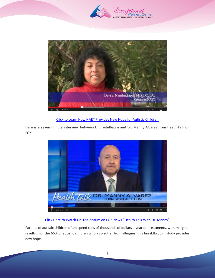



Click to Learn [How NAET Provides New Hope for Autistic Children](http://www.youtube.com/watch?v=p4ICs2WzjD0)

Here is a seven minute interview between Dr. Teitelbaum and Dr. Manny Alvarez from HealthTalk on FOX.



Click Here to W[atch Dr. Teitlebaum on FOX News "Health Talk With Dr. Manny"](http://www.youtube.com/watch?v=rWmJwznAIOU)

Parents of autistic children often spend tens of thousands of dollars a year on treatments, with marginal results. For the 66% of autistic children who also suffer from allergies, this breakthrough study provides new hope.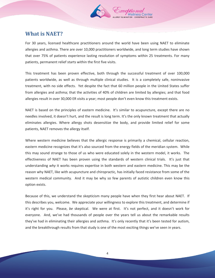

## **What is NAET?**

For 30 years, licensed healthcare practitioners around the world have been using NAET to eliminate allergies and asthma. There are over 10,000 practitioners worldwide, and long term studies have shown that over 75% of patients experience lasting resolution of symptoms within 25 treatments. For many patients, permanent relief starts within the first five visits.

This treatment has been proven effective, both through the successful treatment of over 100,000 patients worldwide, as well as through multiple clinical studies. It is a completely safe, noninvasive treatment, with no side effects. Yet despite the fact that 60 million people in the United States suffer from allergies and asthma; that the activities of 40% of children are limited by allergies; and that food allergies result in over 30,000 ER visits a year; most people don't even know this treatment exists.

NAET is based on the principles of eastern medicine. It's similar to acupuncture, except there are no needles involved, it doesn't hurt, and the result is long term. It's the only known treatment that actually eliminates allergies. Where allergy shots desensitize the body, and provide limited relief for some patients, NAET removes the allergy itself.

Where western medicine believes that the allergic response is primarily a chemical, cellular reaction, eastern medicine recognizes that it's also sourced from the energy fields of the meridian system. While this may sound strange to those of us who were educated solely in the western model, it works. The effectiveness of NAET has been proven using the standards of western clinical trials. It's just that understanding *why* it works requires expertise in both western and eastern medicine. This may be the reason why NAET, like with acupuncture and chiropractic, has initially faced resistance from some of the western medical community. And it may be why so few parents of autistic children even know this option exists.

Because of this, we understand the skepticism many people have when they first hear about NAET. If this describes you, welcome. We appreciate your willingness to explore this treatment, and determine if it's right for you. Please, *be* skeptical. We were at first. It's not perfect, and it doesn't work for everyone. And, we've had thousands of people over the years tell us about the remarkable results they've had in eliminating their allergies and asthma. It's only recently that it's been tested for autism, and the breakthrough results from that study is one of the most exciting things we've seen in years.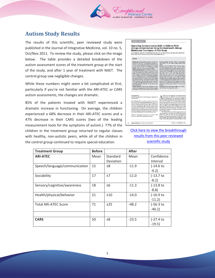

## **Autism Study Results**

The results of this scientific, peer reviewed study were published in the Journal of Integrative Medicine, vol. 10 no. 5, Oct/Nov 2011. To review the study, please click on the image below. The table provides a detailed breakdown of the autism assessment scores of the treatment group at the start of the study, and after 1 year of treatment with NAET. The control group saw negligible changes.

While these numbers might seem a bit complicated at first, particularly if you're not familiar with the ARI-ATEC or CARS autism assessments, the changes are dramatic.

85% of the patients treated with NAET experienced a dramatic increase in functioning. On average, the children experienced a 68% decrease in their ARI-ATEC scores and a 47% decrease in their CARS scores (two of the leading measurement tools for the symptoms of autism.) 77% of the children in the treatment group returned to regular classes with healthy, non-autistic peers, while all of the children in the control group continued to require special education.

Improving Communication Skills in Children With rgy-related Autism Using Nambudripad's Allergy **Elimination Techniques: A Pilot Study** State Telestham, MD: Devi S. Nambudripod, MD, PhD, DC, LAc; Boones Tyson, MD; Ming Chen, MD; Robert<br>Prince, MD: Mata M. Moosad, RN, LAc, PhD: Lourie Telestham, MS

Background: Authors prevalence increases more than 50% Francachon Checkins (AEATEC), Childrence Authors 20006. We hypotentiated that may be considered in the control of the state of the children in the state of the childr oass or the Namousnipas Amery<br>s (NAET) treatment for autism.<br>ntion: Sixty children (2.5-10 years old)<br>amin arrived to treatment or control una amessovgy)<br>ied control group<br>(AET treatments, i control group<br>ET treatments.<br>stickly Testing<br>sitivity Testing<br>d to determine erticipant was deter-<br>gear study using the<br>te Autism Treatment

Autism Rating<br>| Rating Scale 30. children) compiteted the storing NATE peaks and the storing NATE peaks and means at some means of the storing means of the storing state and state means of the ASI-ATE cores (mean details) and SNATE, 47%, control, 0.4 i group<br>Nav and ASRS (botal)<br>001), The NAET SRS In the NAFT  $\frac{1}{2}$  roup, 23  $\epsilon$  with health

### ered at ClinicalTrials.gov: Registration #

Integrative Medicine . Vol. 10, No. 5 . Oct-Nov 2011

ifenor of the nona news<br>124, MD, PhD, DC, LAc, la ha), arc, arke, in dieseb<br>(whitelish (NARF) Rus<br>(a) MD, is assistant die<br>(offattie mhemielen) for ,<br>Rassarik Foundation<br>Geomo Tyson, MD,<br>MD, to a podlatric<br>Ho, California, Robe

 $\mathbf{A}^\text{estim is an entry}\footnotesize\substack{\text{characterised by a matrix}}$ maceutical treatmen<br>there is an urgent no<br>tating disorder. Dec

## [Click here to view the breakthrough](http://www.naet.com/pdfs/Autism-NAET-full-study-IMCJ_10_5_teitelbaum-Published.pdf)  [results from this peer reviewed](http://www.naet.com/pdfs/Autism-NAET-full-study-IMCJ_10_5_teitelbaum-Published.pdf) [scientific](http://www.naet.com/pdfs/Autism-NAET-full-study-IMCJ_10_5_teitelbaum-Published.pdf) study

| <b>Treatment Group</b>        | <b>Before</b> |                       | <b>After</b> |                        |
|-------------------------------|---------------|-----------------------|--------------|------------------------|
| <b>ARI-ATEC</b>               | Mean          | Standard<br>Deviation | Mean         | Confidence<br>Interval |
| Speech/language/communication | 15            | ±8                    | $-11.9$      | $(-14.6)$<br>$-9.2)$   |
| Sociability                   | 17            | ±7                    | $-11.0$      | $(-13.7)$<br>$-8.2$    |
| Sensory/cognitive/awareness   | 18            | ±6                    | $-11.3$      | $(-13.8)$ to<br>$-8.8$ |
| Health/physical/behavior      | 21            | ±10                   | $-14.0$      | $(-16.9)$<br>$-11.2)$  |
| <b>Total ARI-ATEC Score</b>   | 71            | ±25                   | $-48.2$      | $(-56.3)$<br>$-40.2$   |
|                               |               |                       |              |                        |
| <b>CARS</b>                   | 50            | ±8                    | $-23.5$      | $(-27.4)$<br>$-19.5$   |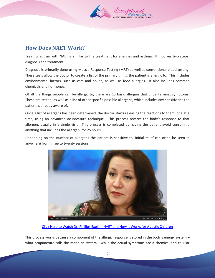

## **How Does NAET Work?**

Treating autism with NAET is similar to the treatment for allergies and asthma. It involves two steps: diagnosis and treatment.

Diagnosis is primarily done using Muscle Response Testing (MRT) as well as conventional blood testing. These tests allow the doctor to create a list of the primary things the patient is allergic to. This includes environmental factors, such as cats and pollen, as well as food allergies. It also includes common chemicals and hormones.

Of all the things people can be allergic to, there are 15 basic allergies that underlie most symptoms. These are tested, as well as a list of other specific possible allergens, which includes any sensitivities the patient is already aware of.

Once a list of allergens has been determined, the doctor starts releasing the reactions to them, one at a time, using an advanced acupressure technique. This process rewires the body's response to that allergen, usually in a single visit. This process is completed by having the patient avoid consuming anything that includes the allergen, for 25 hours.

Depending on the number of allergens the patient is sensitive to, initial relief can often be seen in anywhere from three to twenty sessions.



[Click Here to Watch Dr. Phillips Explain NAET and How it](http://www.youtube.com/watch?v=aeeooPCz7ug) Works for Autistic Children

This process works because a component of the allergic response is stored in the body's energy system – what acupuncture calls the meridian system. While the actual symptoms are a chemical and cellular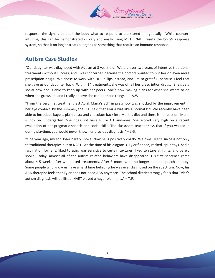

response, the signals that tell the body what to respond to are stored energetically. While counterintuitive, this can be demonstrated quickly and easily using MRT. NAET resets the body's response system, so that it no longer treats allergens as something that require an immune response.

## **Autism Case Studies**

"Our daughter was diagnosed with Autism at 3 years old. We did over two years of intensive traditional treatments without success, and I was concerned because the doctors wanted to put her on even more prescription drugs. We chose to work with Dr. Phillips instead, and I'm so grateful, because I feel that she gave us our daughter back. Within 14 treatments, she was off all her prescription drugs. She's very social now and is able to keep up with her peers. She's now making plans for what she wants to do when she grows up, and I really believe she can do those things." – A.W.

"From the very first treatment last April, Maria's SEIT in preschool was shocked by the improvement in her eye contact. By the summer, the SEIT said that Maria was like a normal kid. We recently have been able to introduce bagels, plain pasta and chocolate back into Maria's diet and there is no reaction. Maria is now in Kindergarten. She does not have PT or OT anymore. She scored very high on a recent evaluation of her pragmatic speech and social skills. The classroom teacher says that if you walked in during playtime, you would never know her previous diagnosis." – L.G.

"One year ago, my son Tyler barely spoke. Now he is positively chatty. We owe Tyler's success not only to traditional therapies but to NAET. At the time of his diagnosis, Tyler flapped, rocked, spun toys, had a fascination for fans, liked to spin, was sensitive to certain textures, liked to stare at lights, and barely spoke. Today, almost all of the autism related behaviors have disappeared. His first sentence came about 4-5 weeks after we started treatments. After 3 months, he no longer needed speech therapy. Some people who know us have a hard time believing he was ever diagnosed on the spectrum. Now, his ABA therapist feels that Tyler does not need ABA anymore. The school district strongly feels that Tyler's autism diagnosis will be lifted. NAET played a huge role in this." – T.R.